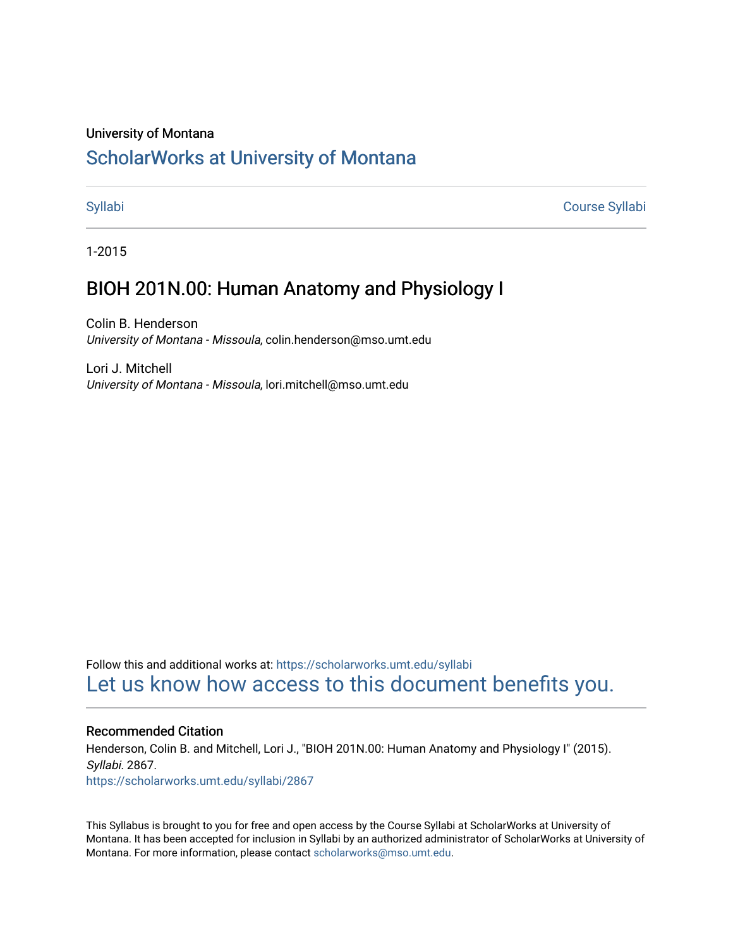#### University of Montana

# [ScholarWorks at University of Montana](https://scholarworks.umt.edu/)

[Syllabi](https://scholarworks.umt.edu/syllabi) [Course Syllabi](https://scholarworks.umt.edu/course_syllabi) 

1-2015

# BIOH 201N.00: Human Anatomy and Physiology I

Colin B. Henderson University of Montana - Missoula, colin.henderson@mso.umt.edu

Lori J. Mitchell University of Montana - Missoula, lori.mitchell@mso.umt.edu

Follow this and additional works at: [https://scholarworks.umt.edu/syllabi](https://scholarworks.umt.edu/syllabi?utm_source=scholarworks.umt.edu%2Fsyllabi%2F2867&utm_medium=PDF&utm_campaign=PDFCoverPages)  [Let us know how access to this document benefits you.](https://goo.gl/forms/s2rGfXOLzz71qgsB2) 

#### Recommended Citation

Henderson, Colin B. and Mitchell, Lori J., "BIOH 201N.00: Human Anatomy and Physiology I" (2015). Syllabi. 2867.

[https://scholarworks.umt.edu/syllabi/2867](https://scholarworks.umt.edu/syllabi/2867?utm_source=scholarworks.umt.edu%2Fsyllabi%2F2867&utm_medium=PDF&utm_campaign=PDFCoverPages)

This Syllabus is brought to you for free and open access by the Course Syllabi at ScholarWorks at University of Montana. It has been accepted for inclusion in Syllabi by an authorized administrator of ScholarWorks at University of Montana. For more information, please contact [scholarworks@mso.umt.edu.](mailto:scholarworks@mso.umt.edu)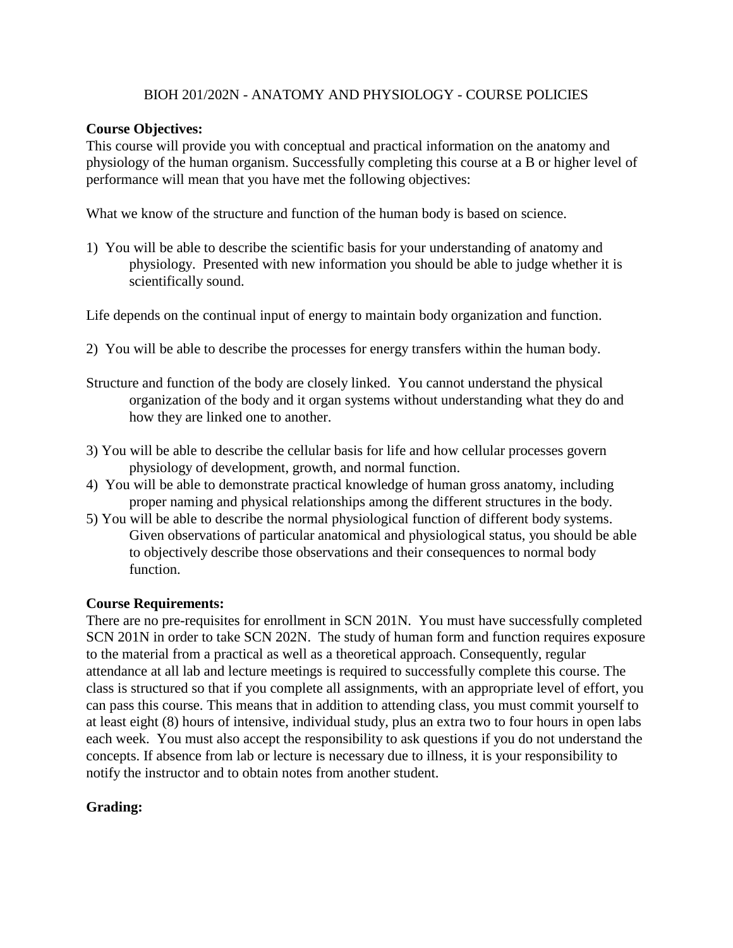# BIOH 201/202N - ANATOMY AND PHYSIOLOGY - COURSE POLICIES

# **Course Objectives:**

This course will provide you with conceptual and practical information on the anatomy and physiology of the human organism. Successfully completing this course at a B or higher level of performance will mean that you have met the following objectives:

What we know of the structure and function of the human body is based on science.

1) You will be able to describe the scientific basis for your understanding of anatomy and physiology. Presented with new information you should be able to judge whether it is scientifically sound.

Life depends on the continual input of energy to maintain body organization and function.

- 2) You will be able to describe the processes for energy transfers within the human body.
- Structure and function of the body are closely linked. You cannot understand the physical organization of the body and it organ systems without understanding what they do and how they are linked one to another.
- 3) You will be able to describe the cellular basis for life and how cellular processes govern physiology of development, growth, and normal function.
- 4) You will be able to demonstrate practical knowledge of human gross anatomy, including proper naming and physical relationships among the different structures in the body.
- 5) You will be able to describe the normal physiological function of different body systems. Given observations of particular anatomical and physiological status, you should be able to objectively describe those observations and their consequences to normal body function.

# **Course Requirements:**

There are no pre-requisites for enrollment in SCN 201N. You must have successfully completed SCN 201N in order to take SCN 202N. The study of human form and function requires exposure to the material from a practical as well as a theoretical approach. Consequently, regular attendance at all lab and lecture meetings is required to successfully complete this course. The class is structured so that if you complete all assignments, with an appropriate level of effort, you can pass this course. This means that in addition to attending class, you must commit yourself to at least eight (8) hours of intensive, individual study, plus an extra two to four hours in open labs each week. You must also accept the responsibility to ask questions if you do not understand the concepts. If absence from lab or lecture is necessary due to illness, it is your responsibility to notify the instructor and to obtain notes from another student.

# **Grading:**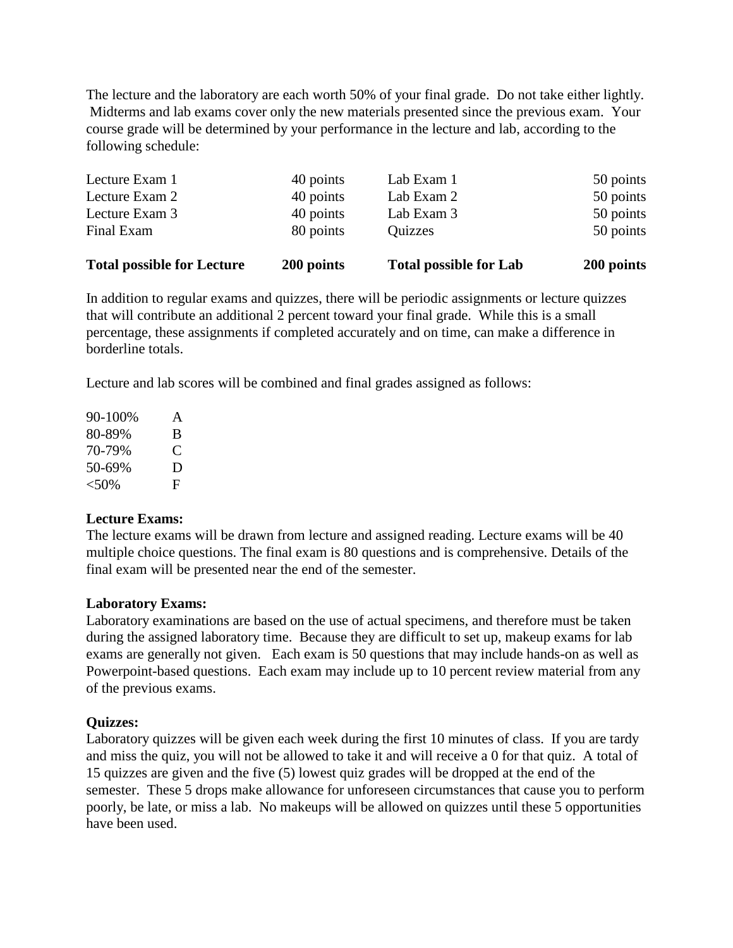The lecture and the laboratory are each worth 50% of your final grade. Do not take either lightly. Midterms and lab exams cover only the new materials presented since the previous exam. Your course grade will be determined by your performance in the lecture and lab, according to the following schedule:

| <b>Total possible for Lecture</b> | 200 points | <b>Total possible for Lab</b> | 200 points |
|-----------------------------------|------------|-------------------------------|------------|
| Final Exam                        | 80 points  | Quizzes                       | 50 points  |
| Lecture Exam 3                    | 40 points  | Lab Exam 3                    | 50 points  |
| Lecture Exam 2                    | 40 points  | Lab Exam 2                    | 50 points  |
| Lecture Exam 1                    | 40 points  | Lab Exam 1                    | 50 points  |

In addition to regular exams and quizzes, there will be periodic assignments or lecture quizzes that will contribute an additional 2 percent toward your final grade. While this is a small percentage, these assignments if completed accurately and on time, can make a difference in borderline totals.

Lecture and lab scores will be combined and final grades assigned as follows:

| $90 - 100\%$ | A |
|--------------|---|
| 80-89%       | B |
| 70-79%       | € |
| 50-69%       | D |
| $< 50\%$     | Е |

## **Lecture Exams:**

The lecture exams will be drawn from lecture and assigned reading. Lecture exams will be 40 multiple choice questions. The final exam is 80 questions and is comprehensive. Details of the final exam will be presented near the end of the semester.

## **Laboratory Exams:**

Laboratory examinations are based on the use of actual specimens, and therefore must be taken during the assigned laboratory time. Because they are difficult to set up, makeup exams for lab exams are generally not given. Each exam is 50 questions that may include hands-on as well as Powerpoint-based questions. Each exam may include up to 10 percent review material from any of the previous exams.

## **Quizzes:**

Laboratory quizzes will be given each week during the first 10 minutes of class. If you are tardy and miss the quiz, you will not be allowed to take it and will receive a 0 for that quiz. A total of 15 quizzes are given and the five (5) lowest quiz grades will be dropped at the end of the semester. These 5 drops make allowance for unforeseen circumstances that cause you to perform poorly, be late, or miss a lab. No makeups will be allowed on quizzes until these 5 opportunities have been used.